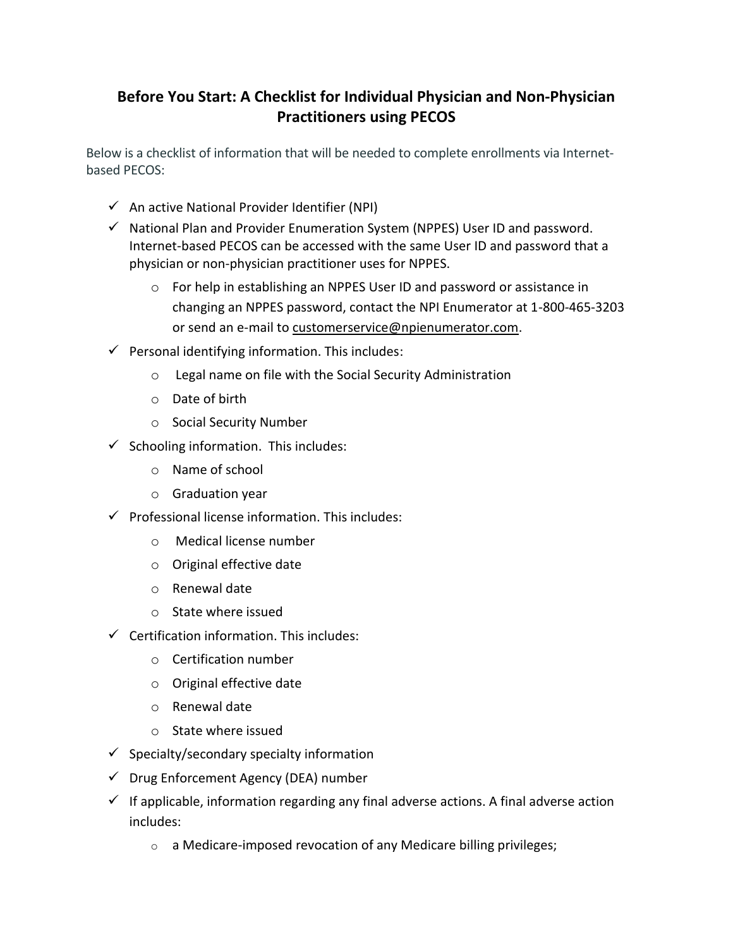## **Before You Start: A Checklist for Individual Physician and Non-Physician Practitioners using PECOS**

Below is a checklist of information that will be needed to complete enrollments via Internetbased PECOS:

- $\checkmark$  An active National Provider Identifier (NPI)
- $\checkmark$  National Plan and Provider Enumeration System (NPPES) User ID and password. Internet-based PECOS can be accessed with the same User ID and password that a physician or non-physician practitioner uses for NPPES.
	- o For help in establishing an NPPES User ID and password or assistance in changing an NPPES password, contact the NPI Enumerator at 1-800-465-3203 or send an e-mail to customerservice@npienumerator.com.
- $\checkmark$  Personal identifying information. This includes:
	- o Legal name on file with the Social Security Administration
	- o Date of birth
	- o Social Security Number
- $\checkmark$  Schooling information. This includes:
	- o Name of school
	- o Graduation year
- $\checkmark$  Professional license information. This includes:
	- o Medical license number
	- o Original effective date
	- o Renewal date
	- o State where issued
- $\checkmark$  Certification information. This includes:
	- o Certification number
	- o Original effective date
	- o Renewal date
	- o State where issued
- $\checkmark$  Specialty/secondary specialty information
- $\checkmark$  Drug Enforcement Agency (DEA) number
- $\checkmark$  If applicable, information regarding any final adverse actions. A final adverse action includes:
	- o a Medicare-imposed revocation of any Medicare billing privileges;